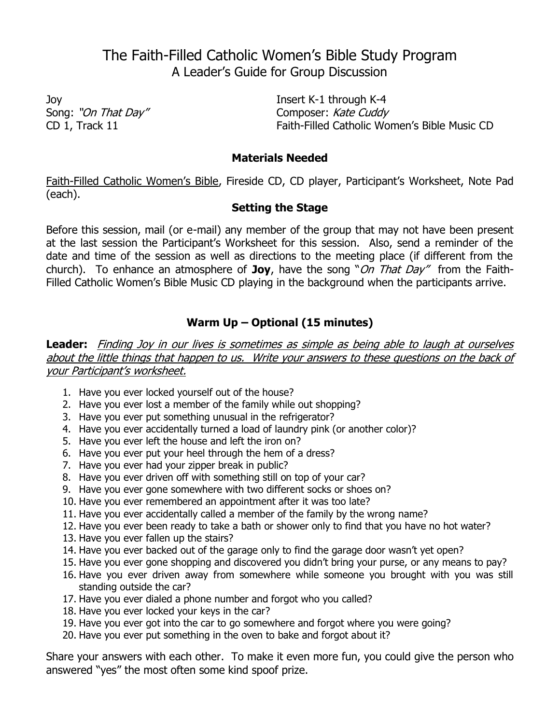# The Faith-Filled Catholic Women's Bible Study Program A Leader's Guide for Group Discussion

Joy Insert K-1 through K-4 Song: "On That Day" Composer: Kate Cuddy<br>CD 1, Track 11 Faith-Filled Catholic World Faith-Filled Catholic Women's Bible Music CD

#### **Materials Needed**

Faith-Filled Catholic Women's Bible, Fireside CD, CD player, Participant's Worksheet, Note Pad (each).

## **Setting the Stage**

Before this session, mail (or e-mail) any member of the group that may not have been present at the last session the Participant's Worksheet for this session. Also, send a reminder of the date and time of the session as well as directions to the meeting place (if different from the church). To enhance an atmosphere of **Joy**, have the song "On That Day" from the Faith-Filled Catholic Women's Bible Music CD playing in the background when the participants arrive.

## **Warm Up – Optional (15 minutes)**

**Leader:** Finding Joy in our lives is sometimes as simple as being able to laugh at ourselves about the little things that happen to us. Write your answers to these questions on the back of your Participant's worksheet.

- 1. Have you ever locked yourself out of the house?
- 2. Have you ever lost a member of the family while out shopping?
- 3. Have you ever put something unusual in the refrigerator?
- 4. Have you ever accidentally turned a load of laundry pink (or another color)?
- 5. Have you ever left the house and left the iron on?
- 6. Have you ever put your heel through the hem of a dress?
- 7. Have you ever had your zipper break in public?
- 8. Have you ever driven off with something still on top of your car?
- 9. Have you ever gone somewhere with two different socks or shoes on?
- 10. Have you ever remembered an appointment after it was too late?
- 11. Have you ever accidentally called a member of the family by the wrong name?
- 12. Have you ever been ready to take a bath or shower only to find that you have no hot water?
- 13. Have you ever fallen up the stairs?
- 14. Have you ever backed out of the garage only to find the garage door wasn't yet open?
- 15. Have you ever gone shopping and discovered you didn't bring your purse, or any means to pay?
- 16. Have you ever driven away from somewhere while someone you brought with you was still standing outside the car?
- 17. Have you ever dialed a phone number and forgot who you called?
- 18. Have you ever locked your keys in the car?
- 19. Have you ever got into the car to go somewhere and forgot where you were going?
- 20. Have you ever put something in the oven to bake and forgot about it?

Share your answers with each other. To make it even more fun, you could give the person who answered "yes" the most often some kind spoof prize.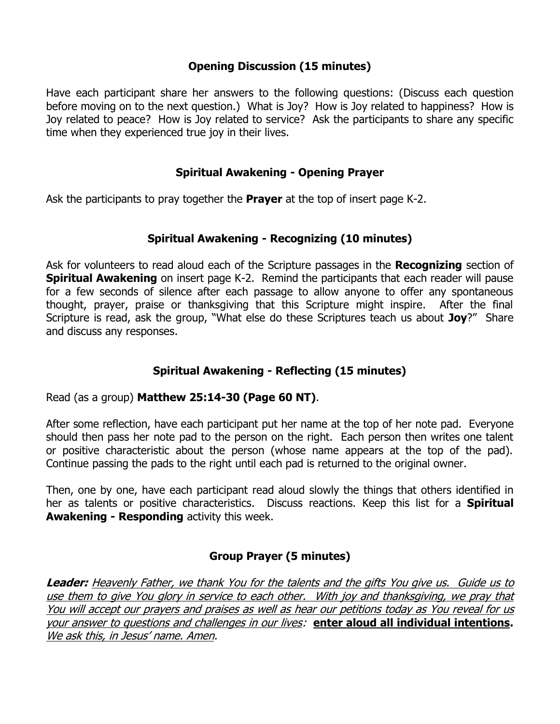### **Opening Discussion (15 minutes)**

Have each participant share her answers to the following questions: (Discuss each question before moving on to the next question.) What is Joy? How is Joy related to happiness? How is Joy related to peace? How is Joy related to service? Ask the participants to share any specific time when they experienced true joy in their lives.

## **Spiritual Awakening - Opening Prayer**

Ask the participants to pray together the **Prayer** at the top of insert page K-2.

## **Spiritual Awakening - Recognizing (10 minutes)**

Ask for volunteers to read aloud each of the Scripture passages in the **Recognizing** section of **Spiritual Awakening** on insert page K-2. Remind the participants that each reader will pause for a few seconds of silence after each passage to allow anyone to offer any spontaneous thought, prayer, praise or thanksgiving that this Scripture might inspire. After the final Scripture is read, ask the group, "What else do these Scriptures teach us about **Joy**?" Share and discuss any responses.

## **Spiritual Awakening - Reflecting (15 minutes)**

#### Read (as a group) **Matthew 25:14-30 (Page 60 NT)**.

After some reflection, have each participant put her name at the top of her note pad. Everyone should then pass her note pad to the person on the right. Each person then writes one talent or positive characteristic about the person (whose name appears at the top of the pad). Continue passing the pads to the right until each pad is returned to the original owner.

Then, one by one, have each participant read aloud slowly the things that others identified in her as talents or positive characteristics. Discuss reactions. Keep this list for a **Spiritual Awakening - Responding** activity this week.

## **Group Prayer (5 minutes)**

**Leader:** Heavenly Father, we thank You for the talents and the gifts You give us. Guide us to use them to give You glory in service to each other. With joy and thanksgiving, we pray that You will accept our prayers and praises as well as hear our petitions today as You reveal for us your answer to questions and challenges in our lives: **enter aloud all individual intentions.** We ask this, in Jesus' name. Amen.